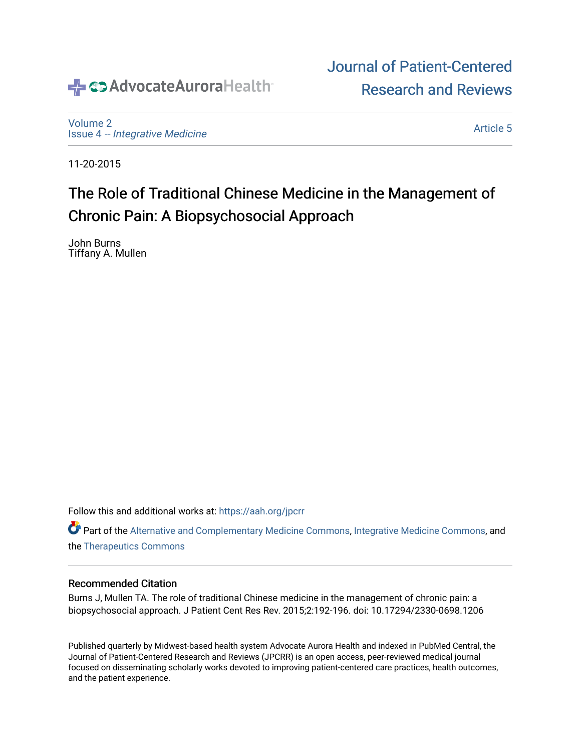# ← <>>AdvocateAuroraHealth

[Volume 2](https://institutionalrepository.aah.org/jpcrr/vol2) Issue 4 [-- Integrative Medicine](https://institutionalrepository.aah.org/jpcrr/vol2/iss4)

[Article 5](https://institutionalrepository.aah.org/jpcrr/vol2/iss4/5) 

[Journal of Patient-Centered](https://institutionalrepository.aah.org/jpcrr) 

[Research and Reviews](https://institutionalrepository.aah.org/jpcrr) 

11-20-2015

# The Role of Traditional Chinese Medicine in the Management of Chronic Pain: A Biopsychosocial Approach

John Burns Tiffany A. Mullen

Follow this and additional works at: [https://aah.org/jpcrr](https://institutionalrepository.aah.org/jpcrr?utm_source=institutionalrepository.aah.org%2Fjpcrr%2Fvol2%2Fiss4%2F5&utm_medium=PDF&utm_campaign=PDFCoverPages) 

Part of the [Alternative and Complementary Medicine Commons,](http://network.bepress.com/hgg/discipline/649?utm_source=institutionalrepository.aah.org%2Fjpcrr%2Fvol2%2Fiss4%2F5&utm_medium=PDF&utm_campaign=PDFCoverPages) [Integrative Medicine Commons,](http://network.bepress.com/hgg/discipline/1355?utm_source=institutionalrepository.aah.org%2Fjpcrr%2Fvol2%2Fiss4%2F5&utm_medium=PDF&utm_campaign=PDFCoverPages) and the [Therapeutics Commons](http://network.bepress.com/hgg/discipline/993?utm_source=institutionalrepository.aah.org%2Fjpcrr%2Fvol2%2Fiss4%2F5&utm_medium=PDF&utm_campaign=PDFCoverPages) 

#### Recommended Citation

Burns J, Mullen TA. The role of traditional Chinese medicine in the management of chronic pain: a biopsychosocial approach. J Patient Cent Res Rev. 2015;2:192-196. doi: 10.17294/2330-0698.1206

Published quarterly by Midwest-based health system Advocate Aurora Health and indexed in PubMed Central, the Journal of Patient-Centered Research and Reviews (JPCRR) is an open access, peer-reviewed medical journal focused on disseminating scholarly works devoted to improving patient-centered care practices, health outcomes, and the patient experience.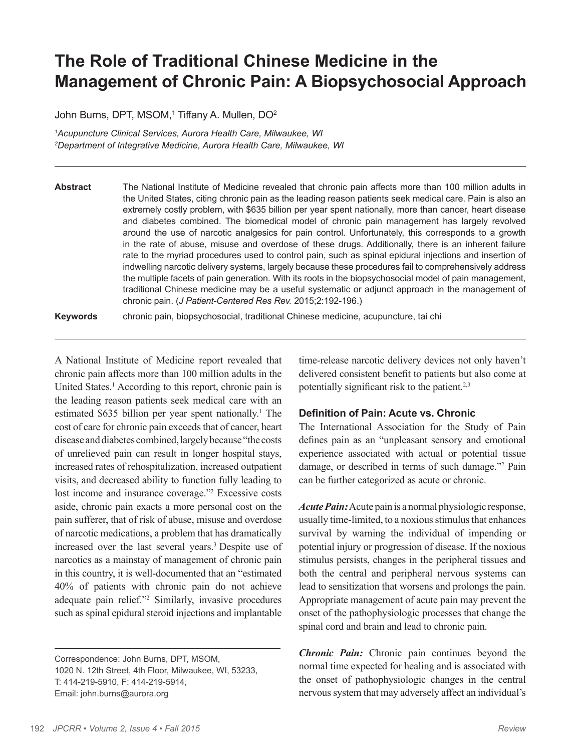## **The Role of Traditional Chinese Medicine in the Management of Chronic Pain: A Biopsychosocial Approach**

John Burns, DPT, MSOM,<sup>1</sup> Tiffany A. Mullen, DO<sup>2</sup>

*1 Acupuncture Clinical Services, Aurora Health Care, Milwaukee, WI 2 Department of Integrative Medicine, Aurora Health Care, Milwaukee, WI*

**Abstract** The National Institute of Medicine revealed that chronic pain affects more than 100 million adults in the United States, citing chronic pain as the leading reason patients seek medical care. Pain is also an extremely costly problem, with \$635 billion per year spent nationally, more than cancer, heart disease and diabetes combined. The biomedical model of chronic pain management has largely revolved around the use of narcotic analgesics for pain control. Unfortunately, this corresponds to a growth in the rate of abuse, misuse and overdose of these drugs. Additionally, there is an inherent failure rate to the myriad procedures used to control pain, such as spinal epidural injections and insertion of indwelling narcotic delivery systems, largely because these procedures fail to comprehensively address the multiple facets of pain generation. With its roots in the biopsychosocial model of pain management, traditional Chinese medicine may be a useful systematic or adjunct approach in the management of chronic pain. (*J Patient-Centered Res Rev.* 2015;2:192-196.)

**Keywords** chronic pain, biopsychosocial, traditional Chinese medicine, acupuncture, tai chi

A National Institute of Medicine report revealed that chronic pain affects more than 100 million adults in the United States.<sup>1</sup> According to this report, chronic pain is the leading reason patients seek medical care with an estimated \$635 billion per year spent nationally.<sup>1</sup> The cost of care for chronic pain exceeds that of cancer, heart disease and diabetes combined, largely because "the costs of unrelieved pain can result in longer hospital stays, increased rates of rehospitalization, increased outpatient visits, and decreased ability to function fully leading to lost income and insurance coverage."2 Excessive costs aside, chronic pain exacts a more personal cost on the pain sufferer, that of risk of abuse, misuse and overdose of narcotic medications, a problem that has dramatically increased over the last several years.<sup>3</sup> Despite use of narcotics as a mainstay of management of chronic pain in this country, it is well-documented that an "estimated 40% of patients with chronic pain do not achieve adequate pain relief."2 Similarly, invasive procedures such as spinal epidural steroid injections and implantable

Correspondence: John Burns, DPT, MSOM, 1020 N. 12th Street, 4th Floor, Milwaukee, WI, 53233, T: 414-219-5910, F: 414-219-5914, Email: john.burns@aurora.org

time-release narcotic delivery devices not only haven't delivered consistent benefit to patients but also come at potentially significant risk to the patient.<sup>2,3</sup>

#### **Definition of Pain: Acute vs. Chronic**

The International Association for the Study of Pain defines pain as an "unpleasant sensory and emotional experience associated with actual or potential tissue damage, or described in terms of such damage."2 Pain can be further categorized as acute or chronic.

*Acute Pain:* Acute pain is a normal physiologic response, usually time-limited, to a noxious stimulus that enhances survival by warning the individual of impending or potential injury or progression of disease. If the noxious stimulus persists, changes in the peripheral tissues and both the central and peripheral nervous systems can lead to sensitization that worsens and prolongs the pain. Appropriate management of acute pain may prevent the onset of the pathophysiologic processes that change the spinal cord and brain and lead to chronic pain.

*Chronic Pain:* Chronic pain continues beyond the normal time expected for healing and is associated with the onset of pathophysiologic changes in the central nervous system that may adversely affect an individual's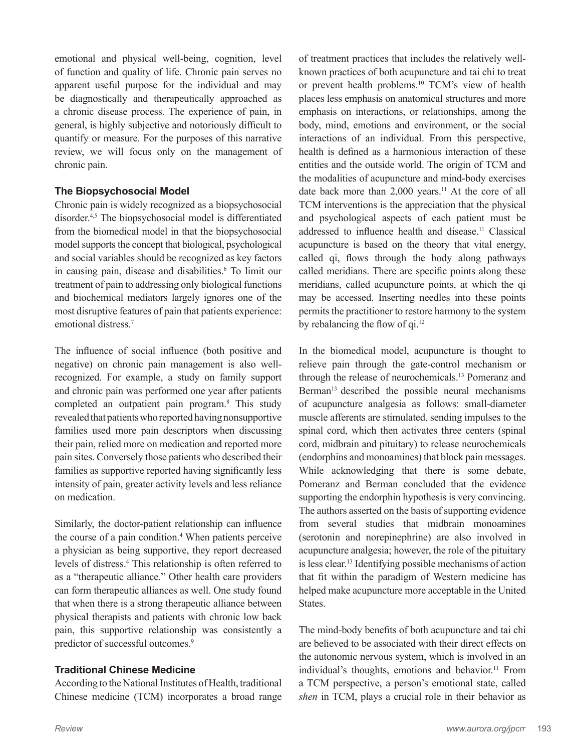emotional and physical well-being, cognition, level of function and quality of life. Chronic pain serves no apparent useful purpose for the individual and may be diagnostically and therapeutically approached as a chronic disease process. The experience of pain, in general, is highly subjective and notoriously difficult to quantify or measure. For the purposes of this narrative review, we will focus only on the management of chronic pain.

### **The Biopsychosocial Model**

Chronic pain is widely recognized as a biopsychosocial disorder.4,5 The biopsychosocial model is differentiated from the biomedical model in that the biopsychosocial model supports the concept that biological, psychological and social variables should be recognized as key factors in causing pain, disease and disabilities.<sup>6</sup> To limit our treatment of pain to addressing only biological functions and biochemical mediators largely ignores one of the most disruptive features of pain that patients experience: emotional distress<sup>7</sup>

The influence of social influence (both positive and negative) on chronic pain management is also wellrecognized. For example, a study on family support and chronic pain was performed one year after patients completed an outpatient pain program.8 This study revealed that patients who reported having nonsupportive families used more pain descriptors when discussing their pain, relied more on medication and reported more pain sites. Conversely those patients who described their families as supportive reported having significantly less intensity of pain, greater activity levels and less reliance on medication.

Similarly, the doctor-patient relationship can influence the course of a pain condition.<sup>4</sup> When patients perceive a physician as being supportive, they report decreased levels of distress.4 This relationship is often referred to as a "therapeutic alliance." Other health care providers can form therapeutic alliances as well. One study found that when there is a strong therapeutic alliance between physical therapists and patients with chronic low back pain, this supportive relationship was consistently a predictor of successful outcomes.<sup>9</sup>

### **Traditional Chinese Medicine**

According to the National Institutes of Health, traditional Chinese medicine (TCM) incorporates a broad range of treatment practices that includes the relatively wellknown practices of both acupuncture and tai chi to treat or prevent health problems.10 TCM's view of health places less emphasis on anatomical structures and more emphasis on interactions, or relationships, among the body, mind, emotions and environment, or the social interactions of an individual. From this perspective, health is defined as a harmonious interaction of these entities and the outside world. The origin of TCM and the modalities of acupuncture and mind-body exercises date back more than 2,000 years.<sup>11</sup> At the core of all TCM interventions is the appreciation that the physical and psychological aspects of each patient must be addressed to influence health and disease.<sup>11</sup> Classical acupuncture is based on the theory that vital energy, called qi, flows through the body along pathways called meridians. There are specific points along these meridians, called acupuncture points, at which the qi may be accessed. Inserting needles into these points permits the practitioner to restore harmony to the system by rebalancing the flow of qi.<sup>12</sup>

In the biomedical model, acupuncture is thought to relieve pain through the gate-control mechanism or through the release of neurochemicals.13 Pomeranz and Berman<sup>13</sup> described the possible neural mechanisms of acupuncture analgesia as follows: small-diameter muscle afferents are stimulated, sending impulses to the spinal cord, which then activates three centers (spinal cord, midbrain and pituitary) to release neurochemicals (endorphins and monoamines) that block pain messages. While acknowledging that there is some debate, Pomeranz and Berman concluded that the evidence supporting the endorphin hypothesis is very convincing. The authors asserted on the basis of supporting evidence from several studies that midbrain monoamines (serotonin and norepinephrine) are also involved in acupuncture analgesia; however, the role of the pituitary is less clear.13 Identifying possible mechanisms of action that fit within the paradigm of Western medicine has helped make acupuncture more acceptable in the United States.

The mind-body benefits of both acupuncture and tai chi are believed to be associated with their direct effects on the autonomic nervous system, which is involved in an individual's thoughts, emotions and behavior.<sup>11</sup> From a TCM perspective, a person's emotional state, called *shen* in TCM, plays a crucial role in their behavior as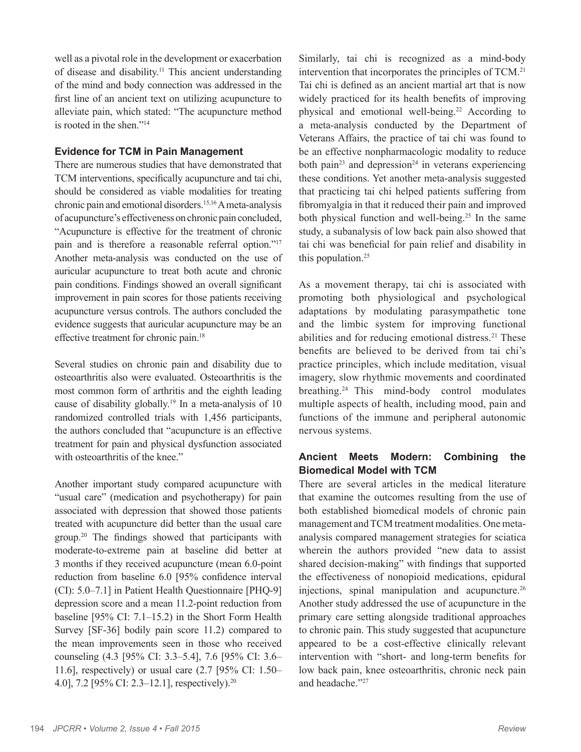well as a pivotal role in the development or exacerbation of disease and disability.11 This ancient understanding of the mind and body connection was addressed in the first line of an ancient text on utilizing acupuncture to alleviate pain, which stated: "The acupuncture method is rooted in the shen."14

#### **Evidence for TCM in Pain Management**

There are numerous studies that have demonstrated that TCM interventions, specifically acupuncture and tai chi, should be considered as viable modalities for treating chronic pain and emotional disorders.15,16 A meta-analysis of acupuncture's effectiveness on chronic pain concluded, "Acupuncture is effective for the treatment of chronic pain and is therefore a reasonable referral option."17 Another meta-analysis was conducted on the use of auricular acupuncture to treat both acute and chronic pain conditions. Findings showed an overall significant improvement in pain scores for those patients receiving acupuncture versus controls. The authors concluded the evidence suggests that auricular acupuncture may be an effective treatment for chronic pain.18

Several studies on chronic pain and disability due to osteoarthritis also were evaluated. Osteoarthritis is the most common form of arthritis and the eighth leading cause of disability globally.19 In a meta-analysis of 10 randomized controlled trials with 1,456 participants, the authors concluded that "acupuncture is an effective treatment for pain and physical dysfunction associated with osteoarthritis of the knee."

Another important study compared acupuncture with "usual care" (medication and psychotherapy) for pain associated with depression that showed those patients treated with acupuncture did better than the usual care group.20 The findings showed that participants with moderate-to-extreme pain at baseline did better at 3 months if they received acupuncture (mean 6.0-point reduction from baseline 6.0 [95% confidence interval (CI): 5.0–7.1] in Patient Health Questionnaire [PHQ-9] depression score and a mean 11.2-point reduction from baseline [95% CI: 7.1–15.2) in the Short Form Health Survey [SF-36] bodily pain score 11.2) compared to the mean improvements seen in those who received counseling (4.3 [95% CI: 3.3–5.4], 7.6 [95% CI: 3.6– 11.6], respectively) or usual care (2.7 [95% CI: 1.50– 4.0], 7.2 [95% CI: 2.3–12.1], respectively).<sup>20</sup>

Similarly, tai chi is recognized as a mind-body intervention that incorporates the principles of TCM.21 Tai chi is defined as an ancient martial art that is now widely practiced for its health benefits of improving physical and emotional well-being.22 According to a meta-analysis conducted by the Department of Veterans Affairs, the practice of tai chi was found to be an effective nonpharmacologic modality to reduce both pain<sup>23</sup> and depression<sup>24</sup> in veterans experiencing these conditions. Yet another meta-analysis suggested that practicing tai chi helped patients suffering from fibromyalgia in that it reduced their pain and improved both physical function and well-being.<sup>25</sup> In the same study, a subanalysis of low back pain also showed that tai chi was beneficial for pain relief and disability in this population. $25$ 

As a movement therapy, tai chi is associated with promoting both physiological and psychological adaptations by modulating parasympathetic tone and the limbic system for improving functional abilities and for reducing emotional distress.<sup>21</sup> These benefits are believed to be derived from tai chi's practice principles, which include meditation, visual imagery, slow rhythmic movements and coordinated breathing.24 This mind-body control modulates multiple aspects of health, including mood, pain and functions of the immune and peripheral autonomic nervous systems.

### **Ancient Meets Modern: Combining the Biomedical Model with TCM**

There are several articles in the medical literature that examine the outcomes resulting from the use of both established biomedical models of chronic pain management and TCM treatment modalities. One metaanalysis compared management strategies for sciatica wherein the authors provided "new data to assist shared decision-making" with findings that supported the effectiveness of nonopioid medications, epidural injections, spinal manipulation and acupuncture.26 Another study addressed the use of acupuncture in the primary care setting alongside traditional approaches to chronic pain. This study suggested that acupuncture appeared to be a cost-effective clinically relevant intervention with "short- and long-term benefits for low back pain, knee osteoarthritis, chronic neck pain and headache."27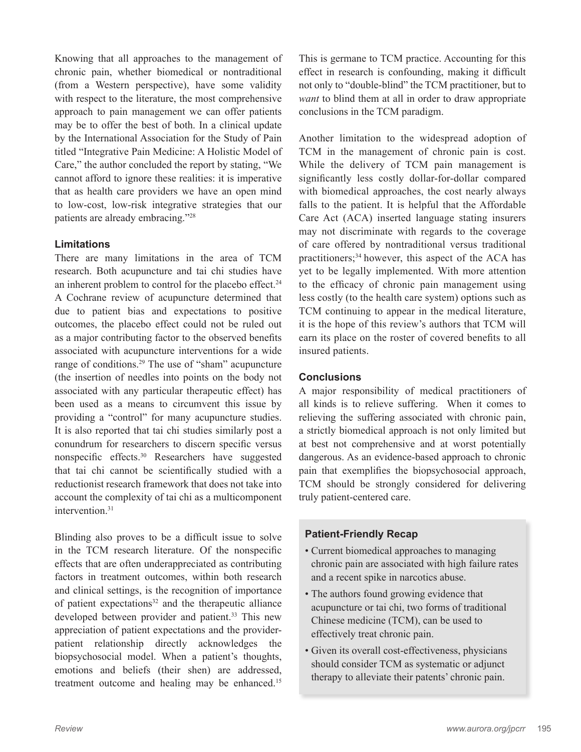Knowing that all approaches to the management of chronic pain, whether biomedical or nontraditional (from a Western perspective), have some validity with respect to the literature, the most comprehensive approach to pain management we can offer patients may be to offer the best of both. In a clinical update by the International Association for the Study of Pain titled "Integrative Pain Medicine: A Holistic Model of Care," the author concluded the report by stating, "We cannot afford to ignore these realities: it is imperative that as health care providers we have an open mind to low-cost, low-risk integrative strategies that our patients are already embracing."28

#### **Limitations**

There are many limitations in the area of TCM research. Both acupuncture and tai chi studies have an inherent problem to control for the placebo effect.<sup>24</sup> A Cochrane review of acupuncture determined that due to patient bias and expectations to positive outcomes, the placebo effect could not be ruled out as a major contributing factor to the observed benefits associated with acupuncture interventions for a wide range of conditions.<sup>29</sup> The use of "sham" acupuncture (the insertion of needles into points on the body not associated with any particular therapeutic effect) has been used as a means to circumvent this issue by providing a "control" for many acupuncture studies. It is also reported that tai chi studies similarly post a conundrum for researchers to discern specific versus nonspecific effects.30 Researchers have suggested that tai chi cannot be scientifically studied with a reductionist research framework that does not take into account the complexity of tai chi as a multicomponent intervention.<sup>31</sup>

Blinding also proves to be a difficult issue to solve in the TCM research literature. Of the nonspecific effects that are often underappreciated as contributing factors in treatment outcomes, within both research and clinical settings, is the recognition of importance of patient expectations $32$  and the therapeutic alliance developed between provider and patient.<sup>33</sup> This new appreciation of patient expectations and the providerpatient relationship directly acknowledges the biopsychosocial model. When a patient's thoughts, emotions and beliefs (their shen) are addressed, treatment outcome and healing may be enhanced.<sup>15</sup>

This is germane to TCM practice. Accounting for this effect in research is confounding, making it difficult not only to "double-blind" the TCM practitioner, but to *want* to blind them at all in order to draw appropriate conclusions in the TCM paradigm.

Another limitation to the widespread adoption of TCM in the management of chronic pain is cost. While the delivery of TCM pain management is significantly less costly dollar-for-dollar compared with biomedical approaches, the cost nearly always falls to the patient. It is helpful that the Affordable Care Act (ACA) inserted language stating insurers may not discriminate with regards to the coverage of care offered by nontraditional versus traditional practitioners;<sup>34</sup> however, this aspect of the ACA has yet to be legally implemented. With more attention to the efficacy of chronic pain management using less costly (to the health care system) options such as TCM continuing to appear in the medical literature, it is the hope of this review's authors that TCM will earn its place on the roster of covered benefits to all insured patients.

#### **Conclusions**

A major responsibility of medical practitioners of all kinds is to relieve suffering. When it comes to relieving the suffering associated with chronic pain, a strictly biomedical approach is not only limited but at best not comprehensive and at worst potentially dangerous. As an evidence-based approach to chronic pain that exemplifies the biopsychosocial approach, TCM should be strongly considered for delivering truly patient-centered care.

#### **Patient-Friendly Recap**

- Current biomedical approaches to managing chronic pain are associated with high failure rates and a recent spike in narcotics abuse.
- The authors found growing evidence that acupuncture or tai chi, two forms of traditional Chinese medicine (TCM), can be used to effectively treat chronic pain.
- Given its overall cost-effectiveness, physicians should consider TCM as systematic or adjunct therapy to alleviate their patents' chronic pain.